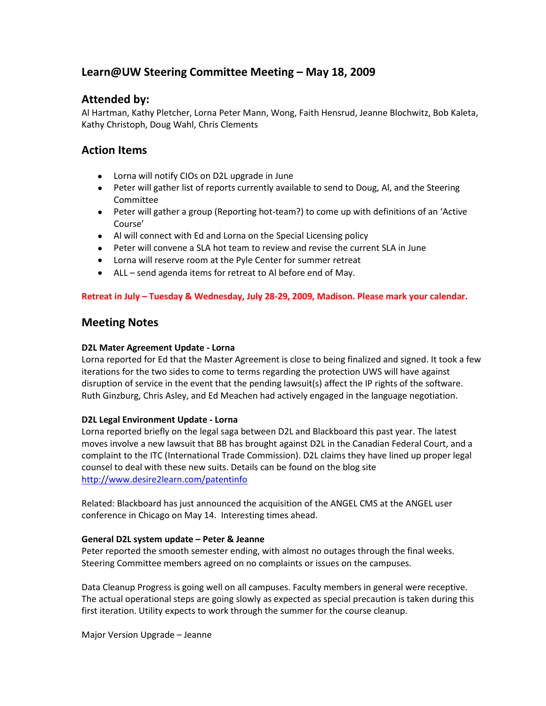# **Learn@UW Steering Committee Meeting – May 18, 2009**

## **Attended by:**

Al Hartman, Kathy Pletcher, Lorna Peter Mann, Wong, Faith Hensrud, Jeanne Blochwitz, Bob Kaleta, Kathy Christoph, Doug Wahl, Chris Clements

## **Action Items**

- Lorna will notify CIOs on D2L upgrade in June
- Peter will gather list of reports currently available to send to Doug, AI, and the Steering Committee
- Peter will gather a group (Reporting hot-team?) to come up with definitions of an 'Active Course'
- Al will connect with Ed and Lorna on the Special Licensing policy
- Peter will convene a SLA hot team to review and revise the current SLA in June
- Lorna will reserve room at the Pyle Center for summer retreat
- ALL send agenda items for retreat to Al before end of May.

## **Retreat in July – Tuesday & Wednesday, July 28-29, 2009, Madison. Please mark your calendar.**

## **Meeting Notes**

## **D2L Mater Agreement Update - Lorna**

Lorna reported for Ed that the Master Agreement is close to being finalized and signed. It took a few iterations for the two sides to come to terms regarding the protection UWS will have against disruption of service in the event that the pending lawsuit(s) affect the IP rights of the software. Ruth Ginzburg, Chris Asley, and Ed Meachen had actively engaged in the language negotiation.

## **D2L Legal Environment Update - Lorna**

Lorna reported briefly on the legal saga between D2L and Blackboard this past year. The latest moves involve a new lawsuit that BB has brought against D2L in the Canadian Federal Court, and a complaint to the ITC (International Trade Commission). D2L claims they have lined up proper legal counsel to deal with these new suits. Details can be found on the blog site <http://www.desire2learn.com/patentinfo>

Related: Blackboard has just announced the acquisition of the ANGEL CMS at the ANGEL user conference in Chicago on May 14. Interesting times ahead.

## **General D2L system update – Peter & Jeanne**

Peter reported the smooth semester ending, with almost no outages through the final weeks. Steering Committee members agreed on no complaints or issues on the campuses.

Data Cleanup Progress is going well on all campuses. Faculty members in general were receptive. The actual operational steps are going slowly as expected as special precaution is taken during this first iteration. Utility expects to work through the summer for the course cleanup.

Major Version Upgrade – Jeanne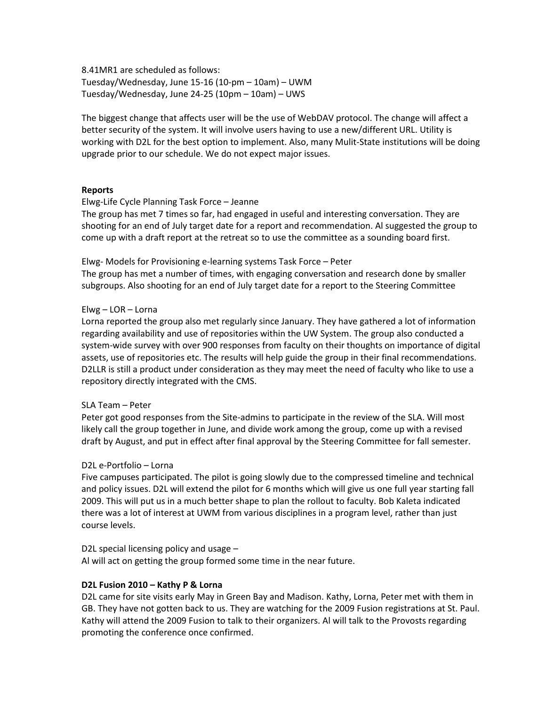8.41MR1 are scheduled as follows: Tuesday/Wednesday, June 15-16 (10-pm – 10am) – UWM Tuesday/Wednesday, June 24-25 (10pm – 10am) – UWS

The biggest change that affects user will be the use of WebDAV protocol. The change will affect a better security of the system. It will involve users having to use a new/different URL. Utility is working with D2L for the best option to implement. Also, many Mulit-State institutions will be doing upgrade prior to our schedule. We do not expect major issues.

#### **Reports**

#### Elwg-Life Cycle Planning Task Force – Jeanne

The group has met 7 times so far, had engaged in useful and interesting conversation. They are shooting for an end of July target date for a report and recommendation. Al suggested the group to come up with a draft report at the retreat so to use the committee as a sounding board first.

Elwg- Models for Provisioning e-learning systems Task Force – Peter

The group has met a number of times, with engaging conversation and research done by smaller subgroups. Also shooting for an end of July target date for a report to the Steering Committee

## Elwg – LOR – Lorna

Lorna reported the group also met regularly since January. They have gathered a lot of information regarding availability and use of repositories within the UW System. The group also conducted a system-wide survey with over 900 responses from faculty on their thoughts on importance of digital assets, use of repositories etc. The results will help guide the group in their final recommendations. D2LLR is still a product under consideration as they may meet the need of faculty who like to use a repository directly integrated with the CMS.

#### SLA Team – Peter

Peter got good responses from the Site-admins to participate in the review of the SLA. Will most likely call the group together in June, and divide work among the group, come up with a revised draft by August, and put in effect after final approval by the Steering Committee for fall semester.

#### D2L e-Portfolio – Lorna

Five campuses participated. The pilot is going slowly due to the compressed timeline and technical and policy issues. D2L will extend the pilot for 6 months which will give us one full year starting fall 2009. This will put us in a much better shape to plan the rollout to faculty. Bob Kaleta indicated there was a lot of interest at UWM from various disciplines in a program level, rather than just course levels.

#### D2L special licensing policy and usage –

Al will act on getting the group formed some time in the near future.

## **D2L Fusion 2010 – Kathy P & Lorna**

D2L came for site visits early May in Green Bay and Madison. Kathy, Lorna, Peter met with them in GB. They have not gotten back to us. They are watching for the 2009 Fusion registrations at St. Paul. Kathy will attend the 2009 Fusion to talk to their organizers. Al will talk to the Provosts regarding promoting the conference once confirmed.